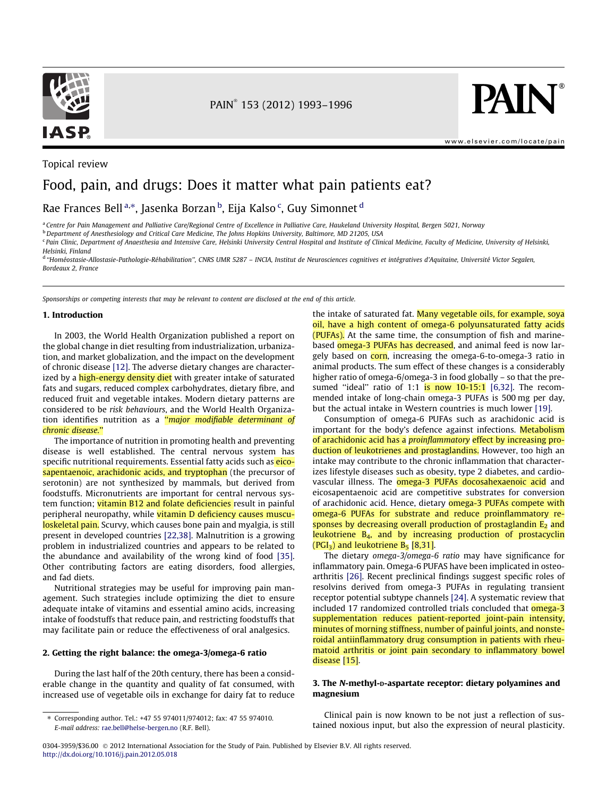

Topical review

PAIN 153 (2012) 1993–1996

**PAIN** 

[www.elsevier.com/locate/pain](http://www.elsevier.com/locate/pain)

# Food, pain, and drugs: Does it matter what pain patients eat?

Rae Frances Bell<sup>a,</sup>\*, Jasenka Borzan <sup>b</sup>, Eija Kalso <sup>c</sup>, Guy Simonnet <sup>d</sup>

a Centre for Pain Management and Palliative Care/Regional Centre of Excellence in Palliative Care, Haukeland University Hospital, Bergen 5021, Norway

 $b$  Department of Anesthesiology and Critical Care Medicine, The Johns Hopkins University, Baltimore, MD 21205, USA

<sup>c</sup> Pain Clinic, Department of Anaesthesia and Intensive Care, Helsinki University Central Hospital and Institute of Clinical Medicine, Faculty of Medicine, University of Helsinki,

Helsinki, Finland

<sup>d</sup> ''Homéostasie-Allostasie-Pathologie-Réhabilitation'', CNRS UMR 5287 – INCIA, Institut de Neurosciences cognitives et intégratives d'Aquitaine, Université Victor Segalen, Bordeaux 2, France

Sponsorships or competing interests that may be relevant to content are disclosed at the end of this article.

# 1. Introduction

In 2003, the World Health Organization published a report on the global change in diet resulting from industrialization, urbanization, and market globalization, and the impact on the development of chronic disease [\[12\].](#page-3-0) The adverse dietary changes are characterized by a high-energy density diet with greater intake of saturated fats and sugars, reduced complex carbohydrates, dietary fibre, and reduced fruit and vegetable intakes. Modern dietary patterns are considered to be risk behaviours, and the World Health Organization identifies nutrition as a "major modifiable determinant of chronic disease.''

The importance of nutrition in promoting health and preventing disease is well established. The central nervous system has specific nutritional requirements. Essential fatty acids such as eicosapentaenoic, arachidonic acids, and tryptophan (the precursor of serotonin) are not synthesized by mammals, but derived from foodstuffs. Micronutrients are important for central nervous system function; vitamin B12 and folate deficiencies result in painful peripheral neuropathy, while vitamin D deficiency causes musculoskeletal pain. Scurvy, which causes bone pain and myalgia, is still present in developed countries [\[22,38\]](#page-3-0). Malnutrition is a growing problem in industrialized countries and appears to be related to the abundance and availability of the wrong kind of food [\[35\].](#page-3-0) Other contributing factors are eating disorders, food allergies, and fad diets.

Nutritional strategies may be useful for improving pain management. Such strategies include optimizing the diet to ensure adequate intake of vitamins and essential amino acids, increasing intake of foodstuffs that reduce pain, and restricting foodstuffs that may facilitate pain or reduce the effectiveness of oral analgesics.

#### 2. Getting the right balance: the omega-3/omega-6 ratio

During the last half of the 20th century, there has been a considerable change in the quantity and quality of fat consumed, with increased use of vegetable oils in exchange for dairy fat to reduce the intake of saturated fat. Many vegetable oils, for example, soya oil, have a high content of omega-6 polyunsaturated fatty acids (PUFAs). At the same time, the consumption of fish and marinebased **omega-3 PUFAs has decreased**, and animal feed is now largely based on corn, increasing the omega-6-to-omega-3 ratio in animal products. The sum effect of these changes is a considerably higher ratio of omega-6/omega-3 in food globally – so that the presumed "ideal" ratio of 1:1 is now  $10-15:1$  [\[6,32\].](#page-2-0) The recommended intake of long-chain omega-3 PUFAs is 500 mg per day, but the actual intake in Western countries is much lower [\[19\].](#page-3-0)

Consumption of omega-6 PUFAs such as arachidonic acid is important for the body's defence against infections. Metabolism of arachidonic acid has a proinflammatory effect by increasing production of leukotrienes and prostaglandins. However, too high an intake may contribute to the chronic inflammation that characterizes lifestyle diseases such as obesity, type 2 diabetes, and cardiovascular illness. The omega-3 PUFAs docosahexaenoic acid and eicosapentaenoic acid are competitive substrates for conversion of arachidonic acid. Hence, dietary omega-3 PUFAs compete with omega-6 PUFAs for substrate and reduce proinflammatory responses by decreasing overall production of prostaglandin  $E_2$  and leukotriene  $B_4$ , and by increasing production of prostacyclin  $(PGI<sub>3</sub>)$  and leukotriene  $B<sub>5</sub>$  [\[8,31\]](#page-3-0).

The dietary omega-3/omega-6 ratio may have significance for inflammatory pain. Omega-6 PUFAS have been implicated in osteoarthritis [\[26\].](#page-3-0) Recent preclinical findings suggest specific roles of resolvins derived from omega-3 PUFAs in regulating transient receptor potential subtype channels [\[24\].](#page-3-0) A systematic review that included 17 randomized controlled trials concluded that **omega-3** supplementation reduces patient-reported joint-pain intensity, minutes of morning stiffness, number of painful joints, and nonsteroidal antiinflammatory drug consumption in patients with rheumatoid arthritis or joint pain secondary to inflammatory bowel disease [\[15\]](#page-3-0).

# 3. The N-methyl-D-aspartate receptor: dietary polyamines and magnesium

Clinical pain is now known to be not just a reflection of sustained noxious input, but also the expression of neural plasticity.

<sup>⇑</sup> Corresponding author. Tel.: +47 55 974011/974012; fax: 47 55 974010. E-mail address: [rae.bell@helse-bergen.no](mailto:rae.bell@helse-bergen.no) (R.F. Bell).

<sup>0304-3959/\$36.00 © 2012</sup> International Association for the Study of Pain. Published by Elsevier B.V. All rights reserved. <http://dx.doi.org/10.1016/j.pain.2012.05.018>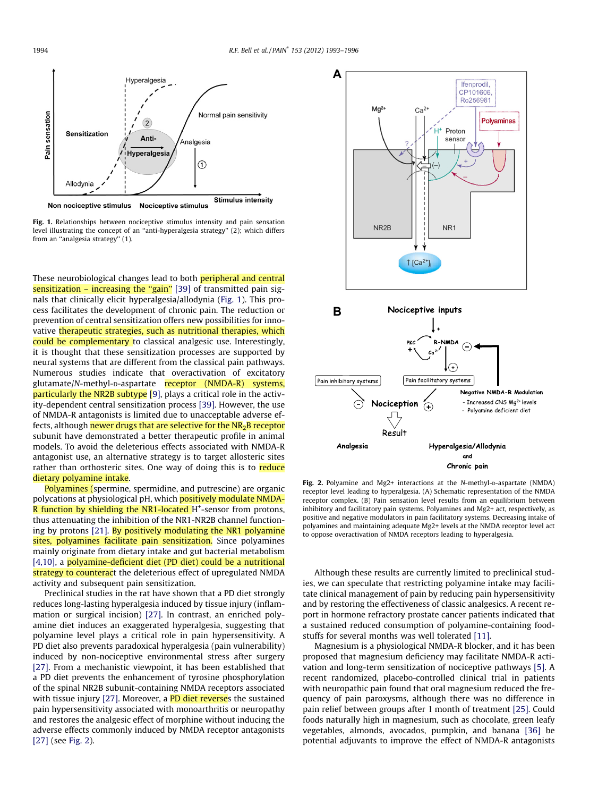

Fig. 1. Relationships between nociceptive stimulus intensity and pain sensation level illustrating the concept of an ''anti-hyperalgesia strategy'' (2); which differs from an ''analgesia strategy'' (1).

These neurobiological changes lead to both peripheral and central sensitization – increasing the "gain" [\[39\]](#page-3-0) of transmitted pain signals that clinically elicit hyperalgesia/allodynia (Fig. 1). This process facilitates the development of chronic pain. The reduction or prevention of central sensitization offers new possibilities for innovative therapeutic strategies, such as nutritional therapies, which could be complementary to classical analgesic use. Interestingly, it is thought that these sensitization processes are supported by neural systems that are different from the classical pain pathways. Numerous studies indicate that overactivation of excitatory glutamate/N-methyl-D-aspartate receptor (NMDA-R) systems, particularly the NR2B subtype [\[9\],](#page-3-0) plays a critical role in the activity-dependent central sensitization process [\[39\].](#page-3-0) However, the use of NMDA-R antagonists is limited due to unacceptable adverse effects, although newer drugs that are selective for the  $NR<sub>2</sub>B$  receptor subunit have demonstrated a better therapeutic profile in animal models. To avoid the deleterious effects associated with NMDA-R antagonist use, an alternative strategy is to target allosteric sites rather than orthosteric sites. One way of doing this is to reduce dietary polyamine intake.

Polyamines (spermine, spermidine, and putrescine) are organic polycations at physiological pH, which positively modulate NMDA-R function by shielding the NR1-located H<sup>+</sup>-sensor from protons, thus attenuating the inhibition of the NR1-NR2B channel function-ing by protons [\[21\].](#page-3-0) By positively modulating the NR1 polyamine sites, polyamines facilitate pain sensitization. Since polyamines mainly originate from dietary intake and gut bacterial metabolism [\[4,10\],](#page-2-0) a polyamine-deficient diet (PD diet) could be a nutritional strategy to counteract the deleterious effect of upregulated NMDA activity and subsequent pain sensitization.

Preclinical studies in the rat have shown that a PD diet strongly reduces long-lasting hyperalgesia induced by tissue injury (inflammation or surgical incision) [\[27\]](#page-3-0). In contrast, an enriched polyamine diet induces an exaggerated hyperalgesia, suggesting that polyamine level plays a critical role in pain hypersensitivity. A PD diet also prevents paradoxical hyperalgesia (pain vulnerability) induced by non-nociceptive environmental stress after surgery [\[27\]](#page-3-0). From a mechanistic viewpoint, it has been established that a PD diet prevents the enhancement of tyrosine phosphorylation of the spinal NR2B subunit-containing NMDA receptors associated with tissue injury [\[27\].](#page-3-0) Moreover, a PD diet reverses the sustained pain hypersensitivity associated with monoarthritis or neuropathy and restores the analgesic effect of morphine without inducing the adverse effects commonly induced by NMDA receptor antagonists [\[27\]](#page-3-0) (see Fig. 2).



Fig. 2. Polyamine and Mg2+ interactions at the N-methyl-D-aspartate (NMDA) receptor level leading to hyperalgesia. (A) Schematic representation of the NMDA receptor complex. (B) Pain sensation level results from an equilibrium between inhibitory and facilitatory pain systems. Polyamines and Mg2+ act, respectively, as positive and negative modulators in pain facilitatory systems. Decreasing intake of polyamines and maintaining adequate Mg2+ levels at the NMDA receptor level act to oppose overactivation of NMDA receptors leading to hyperalgesia.

Although these results are currently limited to preclinical studies, we can speculate that restricting polyamine intake may facilitate clinical management of pain by reducing pain hypersensitivity and by restoring the effectiveness of classic analgesics. A recent report in hormone refractory prostate cancer patients indicated that a sustained reduced consumption of polyamine-containing foodstuffs for several months was well tolerated [\[11\].](#page-3-0)

Magnesium is a physiological NMDA-R blocker, and it has been proposed that magnesium deficiency may facilitate NMDA-R activation and long-term sensitization of nociceptive pathways [\[5\].](#page-2-0) A recent randomized, placebo-controlled clinical trial in patients with neuropathic pain found that oral magnesium reduced the frequency of pain paroxysms, although there was no difference in pain relief between groups after 1 month of treatment [\[25\]](#page-3-0). Could foods naturally high in magnesium, such as chocolate, green leafy vegetables, almonds, avocados, pumpkin, and banana [\[36\]](#page-3-0) be potential adjuvants to improve the effect of NMDA-R antagonists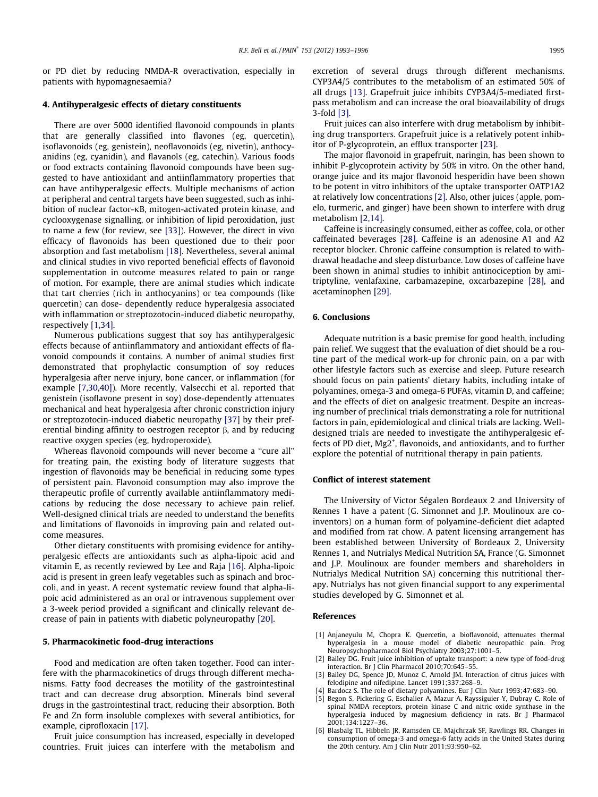<span id="page-2-0"></span>or PD diet by reducing NMDA-R overactivation, especially in patients with hypomagnesaemia?

#### 4. Antihyperalgesic effects of dietary constituents

There are over 5000 identified flavonoid compounds in plants that are generally classified into flavones (eg, quercetin), isoflavonoids (eg, genistein), neoflavonoids (eg, nivetin), anthocyanidins (eg, cyanidin), and flavanols (eg, catechin). Various foods or food extracts containing flavonoid compounds have been suggested to have antioxidant and antiinflammatory properties that can have antihyperalgesic effects. Multiple mechanisms of action at peripheral and central targets have been suggested, such as inhibition of nuclear factor- $\kappa$ B, mitogen-activated protein kinase, and cyclooxygenase signalling, or inhibition of lipid peroxidation, just to name a few (for review, see [\[33\]\)](#page-3-0). However, the direct in vivo efficacy of flavonoids has been questioned due to their poor absorption and fast metabolism [\[18\]](#page-3-0). Nevertheless, several animal and clinical studies in vivo reported beneficial effects of flavonoid supplementation in outcome measures related to pain or range of motion. For example, there are animal studies which indicate that tart cherries (rich in anthocyanins) or tea compounds (like quercetin) can dose- dependently reduce hyperalgesia associated with inflammation or streptozotocin-induced diabetic neuropathy, respectively [1,34].

Numerous publications suggest that soy has antihyperalgesic effects because of antiinflammatory and antioxidant effects of flavonoid compounds it contains. A number of animal studies first demonstrated that prophylactic consumption of soy reduces hyperalgesia after nerve injury, bone cancer, or inflammation (for example [\[7,30,40\]\)](#page-3-0). More recently, Valsecchi et al. reported that genistein (isoflavone present in soy) dose-dependently attenuates mechanical and heat hyperalgesia after chronic constriction injury or streptozotocin-induced diabetic neuropathy [\[37\]](#page-3-0) by their preferential binding affinity to oestrogen receptor  $\beta$ , and by reducing reactive oxygen species (eg, hydroperoxide).

Whereas flavonoid compounds will never become a ''cure all'' for treating pain, the existing body of literature suggests that ingestion of flavonoids may be beneficial in reducing some types of persistent pain. Flavonoid consumption may also improve the therapeutic profile of currently available antiinflammatory medications by reducing the dose necessary to achieve pain relief. Well-designed clinical trials are needed to understand the benefits and limitations of flavonoids in improving pain and related outcome measures.

Other dietary constituents with promising evidence for antihyperalgesic effects are antioxidants such as alpha-lipoic acid and vitamin E, as recently reviewed by Lee and Raja [\[16\].](#page-3-0) Alpha-lipoic acid is present in green leafy vegetables such as spinach and broccoli, and in yeast. A recent systematic review found that alpha-lipoic acid administered as an oral or intravenous supplement over a 3-week period provided a significant and clinically relevant decrease of pain in patients with diabetic polyneuropathy [\[20\]](#page-3-0).

# 5. Pharmacokinetic food-drug interactions

Food and medication are often taken together. Food can interfere with the pharmacokinetics of drugs through different mechanisms. Fatty food decreases the motility of the gastrointestinal tract and can decrease drug absorption. Minerals bind several drugs in the gastrointestinal tract, reducing their absorption. Both Fe and Zn form insoluble complexes with several antibiotics, for example, ciprofloxacin [\[17\]](#page-3-0).

Fruit juice consumption has increased, especially in developed countries. Fruit juices can interfere with the metabolism and excretion of several drugs through different mechanisms. CYP3A4/5 contributes to the metabolism of an estimated 50% of all drugs [\[13\].](#page-3-0) Grapefruit juice inhibits CYP3A4/5-mediated firstpass metabolism and can increase the oral bioavailability of drugs 3-fold [3].

Fruit juices can also interfere with drug metabolism by inhibiting drug transporters. Grapefruit juice is a relatively potent inhibitor of P-glycoprotein, an efflux transporter [\[23\]](#page-3-0).

The major flavonoid in grapefruit, naringin, has been shown to inhibit P-glycoprotein activity by 50% in vitro. On the other hand, orange juice and its major flavonoid hesperidin have been shown to be potent in vitro inhibitors of the uptake transporter OATP1A2 at relatively low concentrations [2]. Also, other juices (apple, pomelo, turmeric, and ginger) have been shown to interfere with drug metabolism [2,14].

Caffeine is increasingly consumed, either as coffee, cola, or other caffeinated beverages [\[28\]](#page-3-0). Caffeine is an adenosine A1 and A2 receptor blocker. Chronic caffeine consumption is related to withdrawal headache and sleep disturbance. Low doses of caffeine have been shown in animal studies to inhibit antinociception by amitriptyline, venlafaxine, carbamazepine, oxcarbazepine [\[28\],](#page-3-0) and acetaminophen [\[29\].](#page-3-0)

# 6. Conclusions

Adequate nutrition is a basic premise for good health, including pain relief. We suggest that the evaluation of diet should be a routine part of the medical work-up for chronic pain, on a par with other lifestyle factors such as exercise and sleep. Future research should focus on pain patients' dietary habits, including intake of polyamines, omega-3 and omega-6 PUFAs, vitamin D, and caffeine; and the effects of diet on analgesic treatment. Despite an increasing number of preclinical trials demonstrating a role for nutritional factors in pain, epidemiological and clinical trials are lacking. Welldesigned trials are needed to investigate the antihyperalgesic effects of PD diet, Mg2<sup>+</sup>, flavonoids, and antioxidants, and to further explore the potential of nutritional therapy in pain patients.

### Conflict of interest statement

The University of Victor Ségalen Bordeaux 2 and University of Rennes 1 have a patent (G. Simonnet and J.P. Moulinoux are coinventors) on a human form of polyamine-deficient diet adapted and modified from rat chow. A patent licensing arrangement has been established between University of Bordeaux 2, University Rennes 1, and Nutrialys Medical Nutrition SA, France (G. Simonnet and J.P. Moulinoux are founder members and shareholders in Nutrialys Medical Nutrition SA) concerning this nutritional therapy. Nutrialys has not given financial support to any experimental studies developed by G. Simonnet et al.

# References

- [1] Anjaneyulu M, Chopra K. Quercetin, a bioflavonoid, attenuates thermal hyperalgesia in a mouse model of diabetic neuropathic pain. Prog Neuropsychopharmacol Biol Psychiatry 2003;27:1001–5.
- [2] Bailey DG. Fruit juice inhibition of uptake transport: a new type of food-drug interaction. Br J Clin Pharmacol 2010;70:645–55.
- [3] Bailey DG, Spence JD, Munoz C, Arnold JM. Interaction of citrus juices with felodipine and nifedipine. Lancet 1991;337:268–9.
- [4] Bardocz S. The role of dietary polyamines. Eur J Clin Nutr 1993;47:683–90.
- [5] Begon S, Pickering G, Eschalier A, Mazur A, Rayssiguier Y, Dubray C. Role of spinal NMDA receptors, protein kinase C and nitric oxide synthase in the hyperalgesia induced by magnesium deficiency in rats. Br J Pharmacol 2001;134:1227–36.
- [6] Blasbalg TL, Hibbeln JR, Ramsden CE, Majchrzak SF, Rawlings RR. Changes in consumption of omega-3 and omega-6 fatty acids in the United States during the 20th century. Am J Clin Nutr 2011;93:950–62.